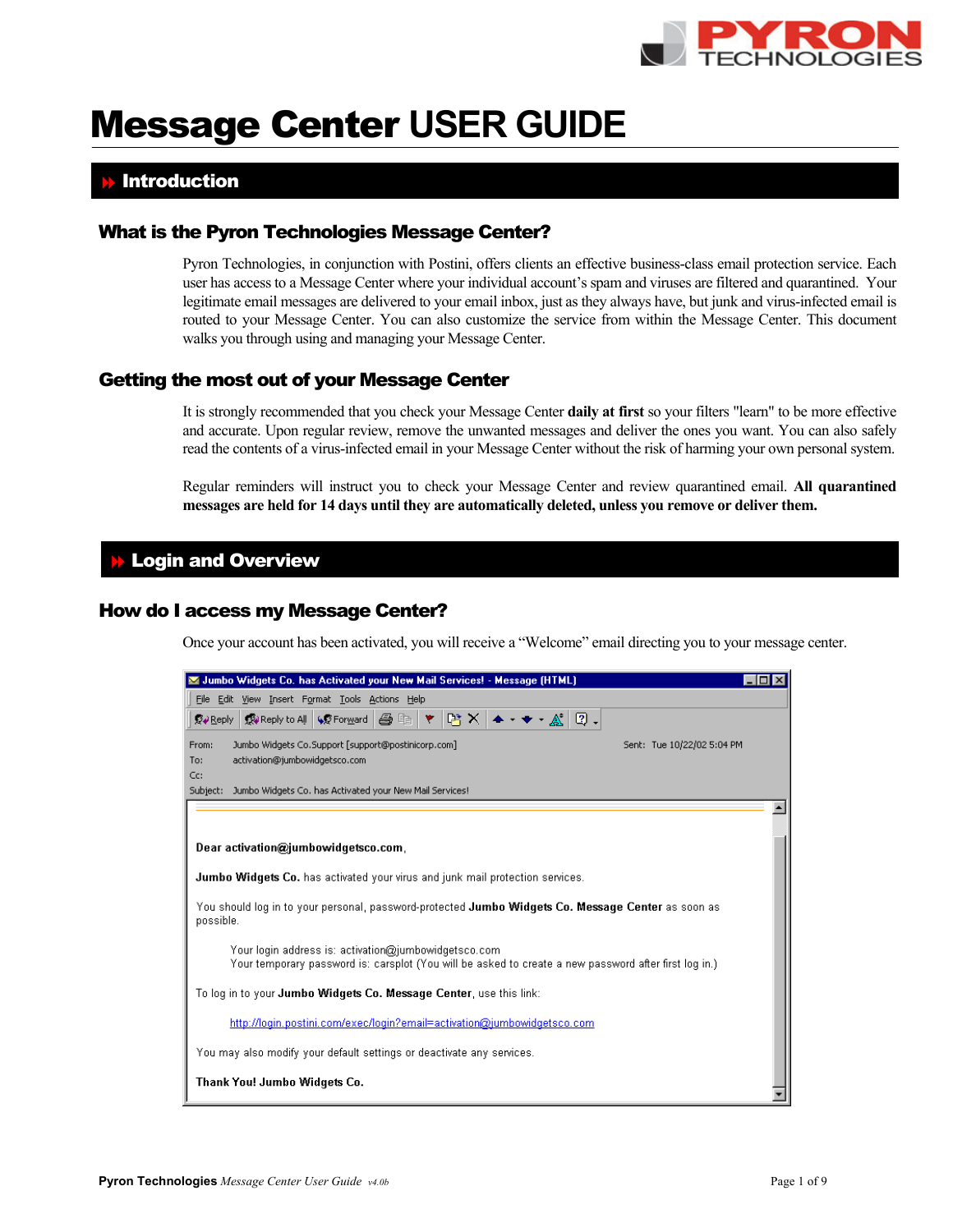

# Message Center **USER GUIDE**

# **Introduction**

# What is the Pyron Technologies Message Center?

Pyron Technologies, in conjunction with Postini, offers clients an effective business-class email protection service. Each user has access to a Message Center where your individual account's spam and viruses are filtered and quarantined. Your legitimate email messages are delivered to your email inbox, just as they always have, but junk and virus-infected email is routed to your Message Center. You can also customize the service from within the Message Center. This document walks you through using and managing your Message Center.

# Getting the most out of your Message Center

It is strongly recommended that you check your Message Center **daily at first** so your filters "learn" to be more effective and accurate. Upon regular review, remove the unwanted messages and deliver the ones you want. You can also safely read the contents of a virus-infected email in your Message Center without the risk of harming your own personal system.

Regular reminders will instruct you to check your Message Center and review quarantined email. **All quarantined messages are held for 14 days until they are automatically deleted, unless you remove or deliver them.** 

## **Login and Overview**

## How do I access my Message Center?

Once your account has been activated, you will receive a "Welcome" email directing you to your message center.

| Jumbo Widgets Co. has Activated your New Mail Services! - Message (HTML)                                                                                      |  |
|---------------------------------------------------------------------------------------------------------------------------------------------------------------|--|
| File Edit View Insert Format Tools Actions Help                                                                                                               |  |
| $R \times 1 + 1$<br>母生<br>QJ Reply   Ry Reply to All   GO Forward                                                                                             |  |
| Jumbo Widgets Co.Support [support@postinicorp.com]<br>Sent: Tue 10/22/02 5:04 PM<br>From:                                                                     |  |
| activation@jumbowidgetsco.com<br>To:                                                                                                                          |  |
| Cc:<br>Jumbo Widgets Co. has Activated your New Mail Services!<br>Subject:                                                                                    |  |
|                                                                                                                                                               |  |
|                                                                                                                                                               |  |
| Dear activation@jumbowidgetsco.com                                                                                                                            |  |
|                                                                                                                                                               |  |
| Jumbo Widgets Co. has activated your virus and junk mail protection services.                                                                                 |  |
| You should log in to your personal, password-protected Jumbo Widgets Co. Message Center as soon as<br>possible.                                               |  |
| Your login address is: activation@jumbowidgetsco.com<br>Your temporary password is: carsplot (You will be asked to create a new password after first log in.) |  |
| To log in to your <b>Jumbo Widgets Co. Message Center</b> , use this link:                                                                                    |  |
| http://login.postini.com/exec/login?email=activation@jumbowidgetsco.com                                                                                       |  |
| You may also modify your default settings or deactivate any services.                                                                                         |  |
| Thank You! Jumbo Widgets Co.                                                                                                                                  |  |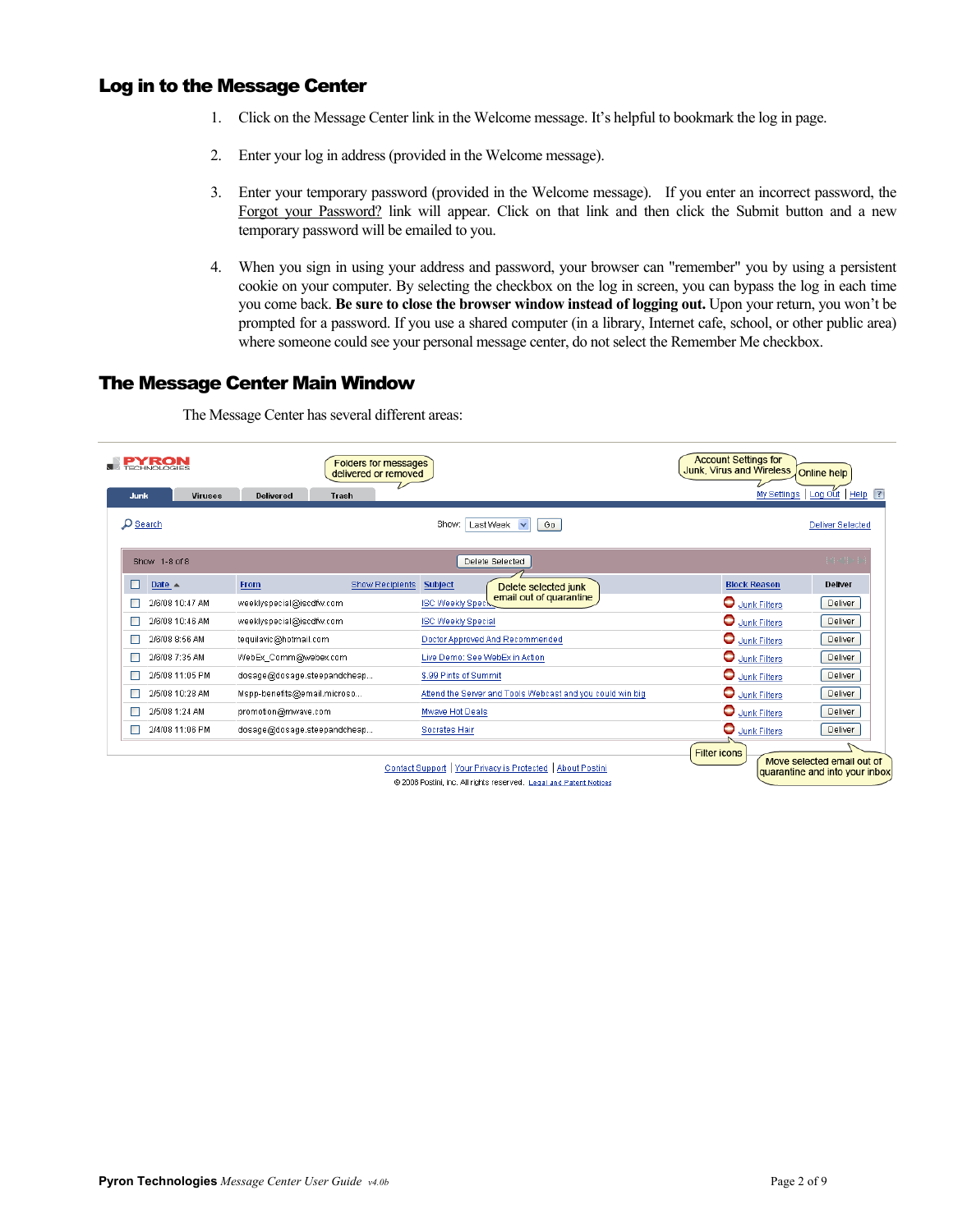# Log in to the Message Center

- 1. Click on the Message Center link in the Welcome message. It's helpful to bookmark the log in page.
- 2. Enter your log in address (provided in the Welcome message).
- 3. Enter your temporary password (provided in the Welcome message). If you enter an incorrect password, the Forgot your Password? link will appear. Click on that link and then click the Submit button and a new temporary password will be emailed to you.
- 4. When you sign in using your address and password, your browser can "remember" you by using a persistent cookie on your computer. By selecting the checkbox on the log in screen, you can bypass the log in each time you come back. **Be sure to close the browser window instead of logging out.** Upon your return, you won't be prompted for a password. If you use a shared computer (in a library, Internet cafe, school, or other public area) where someone could see your personal message center, do not select the Remember Me checkbox.

# The Message Center Main Window

The Message Center has several different areas:

|                        | <b>Folders for messages</b><br>delivered or removed |                                                             | <b>Account Settings for</b><br>Junk, Virus and Wireless<br>Online help              |
|------------------------|-----------------------------------------------------|-------------------------------------------------------------|-------------------------------------------------------------------------------------|
| Junk<br><b>Viruses</b> | <b>Delivered</b><br>Trash                           |                                                             | My Settings   Log Out   Help   ?                                                    |
| O Search               |                                                     | Last Week v<br>Show:<br>Go                                  | <b>Deliver Selected</b>                                                             |
| Show 1-8 of 8          |                                                     | Delete Selected                                             | 19-11-1                                                                             |
| Date $\triangle$       | From<br><b>Show Recipients</b>                      | <b>Subject</b><br>Delete selected junk                      | <b>Block Reason</b><br><b>Deliver</b>                                               |
| 2/6/08 10:47 AM        | weeklyspecial@iscdfw.com                            | email out of quarantine<br><b>ISC Weekly Speck</b>          | Junk Filters<br>Deliver                                                             |
| 2/6/08 10:46 AM        | weeklyspecial@iscdfw.com                            | <b>ISC Weekly Special</b>                                   | Junk Filters<br>Deliver                                                             |
| 2/6/08 8:56 AM         | tequilavic@hotmail.com                              | Doctor Approved And Recommended                             | Junk Filters<br>Deliver                                                             |
| 2/6/08 7:35 AM         | WebEx_Comm@webex.com                                | Live Demo: See WebEx in Action                              | Junk Filters<br>Deliver                                                             |
| 2/5/08 11:05 PM        | dosage@dosage.steepandcheap                         | \$.99 Pints of Summit                                       | Junk Filters<br>Deliver                                                             |
| 2/5/08 10:28 AM        | Mspp-benefits@email.microso                         | Attend the Server and Tools Webcast and you could win big   | Junk Filters<br>Deliver                                                             |
| 2/5/08 1:24 AM         | promotion@mwave.com                                 | Mwave Hot Deals                                             | Junk Filters<br>Deliver                                                             |
| 2/4/08 11:06 PM        | dosage@dosage.steepandcheap                         | Socrates Hair                                               | Junk Filters<br>Deliver                                                             |
|                        |                                                     | Contact Support   Your Privacy is Protected   About Postini | <b>Filter icons</b><br>Move selected email out of<br>quarantine and into your inbox |

@ 2008 Postini, Inc. All rights reserved. Legal and Patent Notices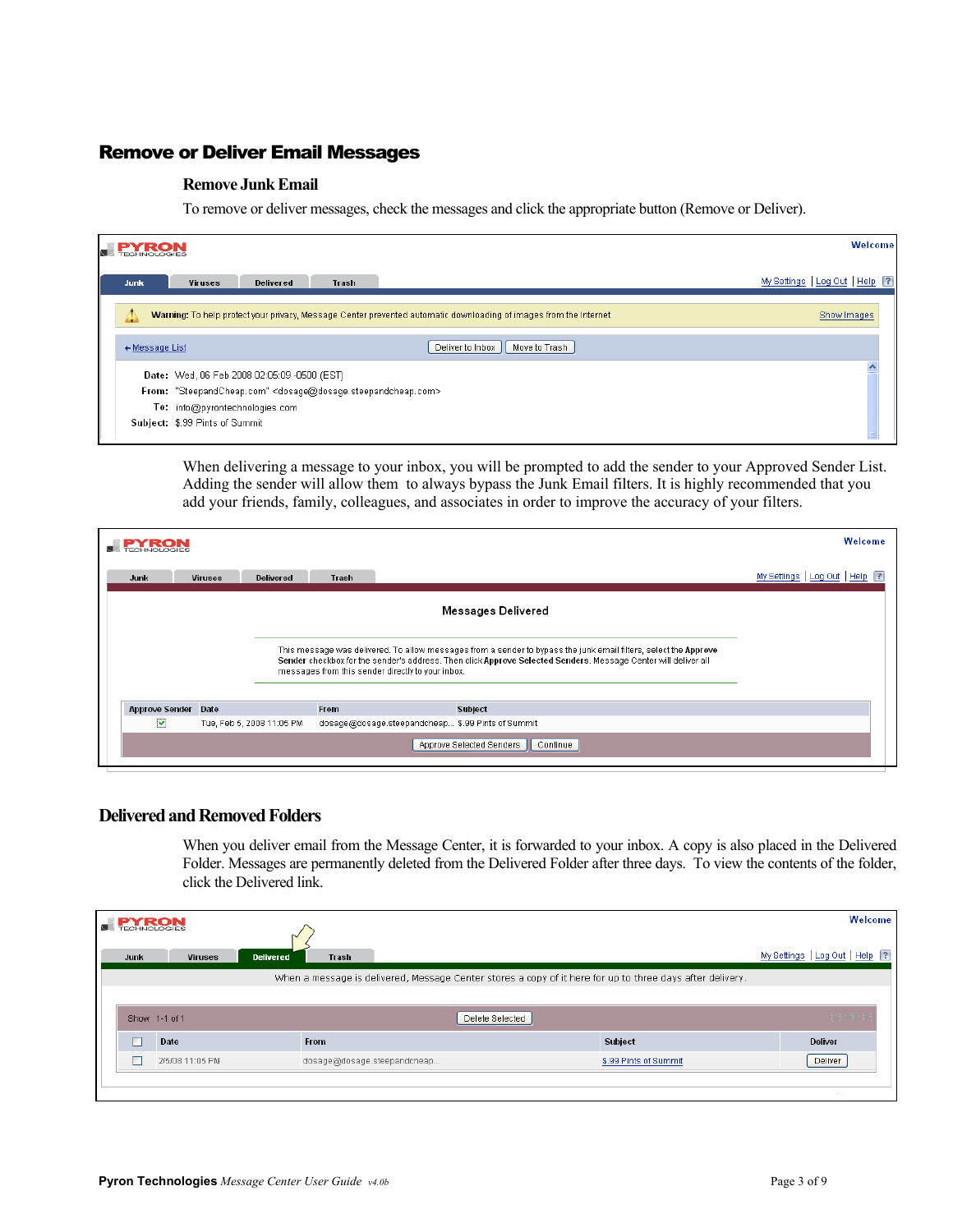# Remove or Deliver Email Messages

## **Remove Junk Email**

To remove or deliver messages, check the messages and click the appropriate button (Remove or Deliver).

| <b>PY RON</b>  |                                                                                                                    | Welcome                          |
|----------------|--------------------------------------------------------------------------------------------------------------------|----------------------------------|
| Junk           | <b>Viruses</b><br>Delivered<br>Trash                                                                               | My Settings   Log Out   Help   ? |
|                | Warning: To help protect your privacy, Message Center prevented automatic downloading of images from the Internet. | Show Images                      |
| + Message List | Deliver to Inbox<br>Move to Trash                                                                                  |                                  |
|                | Date: Wed, 06 Feb 2008 02:05:09 -0500 (EST)                                                                        |                                  |
|                | From: "SteepandCheap.com" <dosage@dosage.steepandcheap.com></dosage@dosage.steepandcheap.com>                      |                                  |
|                | To: info@pyrontechnologies.com                                                                                     |                                  |
|                | Subject: \$.99 Pints of Summit                                                                                     |                                  |

When delivering a message to your inbox, you will be prompted to add the sender to your Approved Sender List. Adding the sender will allow them to always bypass the Junk Email filters. It is highly recommended that you add your friends, family, colleagues, and associates in order to improve the accuracy of your filters.

| <b>PYRON</b>            |                |                           |             |                                                   |                                                                                                                                                                                                                                    | Welcome                          |
|-------------------------|----------------|---------------------------|-------------|---------------------------------------------------|------------------------------------------------------------------------------------------------------------------------------------------------------------------------------------------------------------------------------------|----------------------------------|
| Junk                    | <b>Viruses</b> | <b>Delivered</b>          | Trash       |                                                   |                                                                                                                                                                                                                                    | My Settings   Log Out   Help   ? |
|                         |                |                           |             |                                                   | Messages Delivered                                                                                                                                                                                                                 |                                  |
|                         |                |                           |             | messages from this sender directly to your inbox. | This message was delivered. To allow messages from a sender to bypass the junk email filters, select the Approve<br>Sender checkbox for the sender's address. Then click Approve Selected Senders. Message Center will deliver all |                                  |
| <b>Approve Sender</b>   | Date           |                           | <b>From</b> |                                                   | <b>Subject</b>                                                                                                                                                                                                                     |                                  |
| $\overline{\mathbf{v}}$ |                | Tue, Feb 5, 2008 11:05 PM |             |                                                   | dosage@dosage.steepandcheap \$.99 Pints of Summit                                                                                                                                                                                  |                                  |
|                         |                |                           |             |                                                   | Approve Selected Senders<br>Continue                                                                                                                                                                                               |                                  |

## **Delivered and Removed Folders**

When you deliver email from the Message Center, it is forwarded to your inbox. A copy is also placed in the Delivered Folder. Messages are permanently deleted from the Delivered Folder after three days. To view the contents of the folder, click the Delivered link.

| <b>PYRON</b> |                 | $\scriptstyle\sim$ |                                                                                                           |                 |                       | Welcome                          |  |
|--------------|-----------------|--------------------|-----------------------------------------------------------------------------------------------------------|-----------------|-----------------------|----------------------------------|--|
| Junk         | <b>Viruses</b>  | <b>Delivered</b>   | Trash                                                                                                     |                 |                       | My Settings   Log Out   Help [?] |  |
|              |                 |                    | When a message is delivered, Message Center stores a copy of it here for up to three days after delivery. |                 |                       |                                  |  |
|              |                 |                    |                                                                                                           |                 |                       |                                  |  |
|              | Show 1-1 of 1   |                    |                                                                                                           | Delete Selected |                       | 14/11/                           |  |
|              | Date            |                    | <b>From</b>                                                                                               |                 | Subject               | <b>Deliver</b>                   |  |
|              | 2/5/08 11:05 PM |                    | dosage@dosage.steepandcheap                                                                               |                 | \$.99 Pints of Summit | Deliver                          |  |
|              |                 |                    |                                                                                                           |                 |                       | $\sim$ $\sim$                    |  |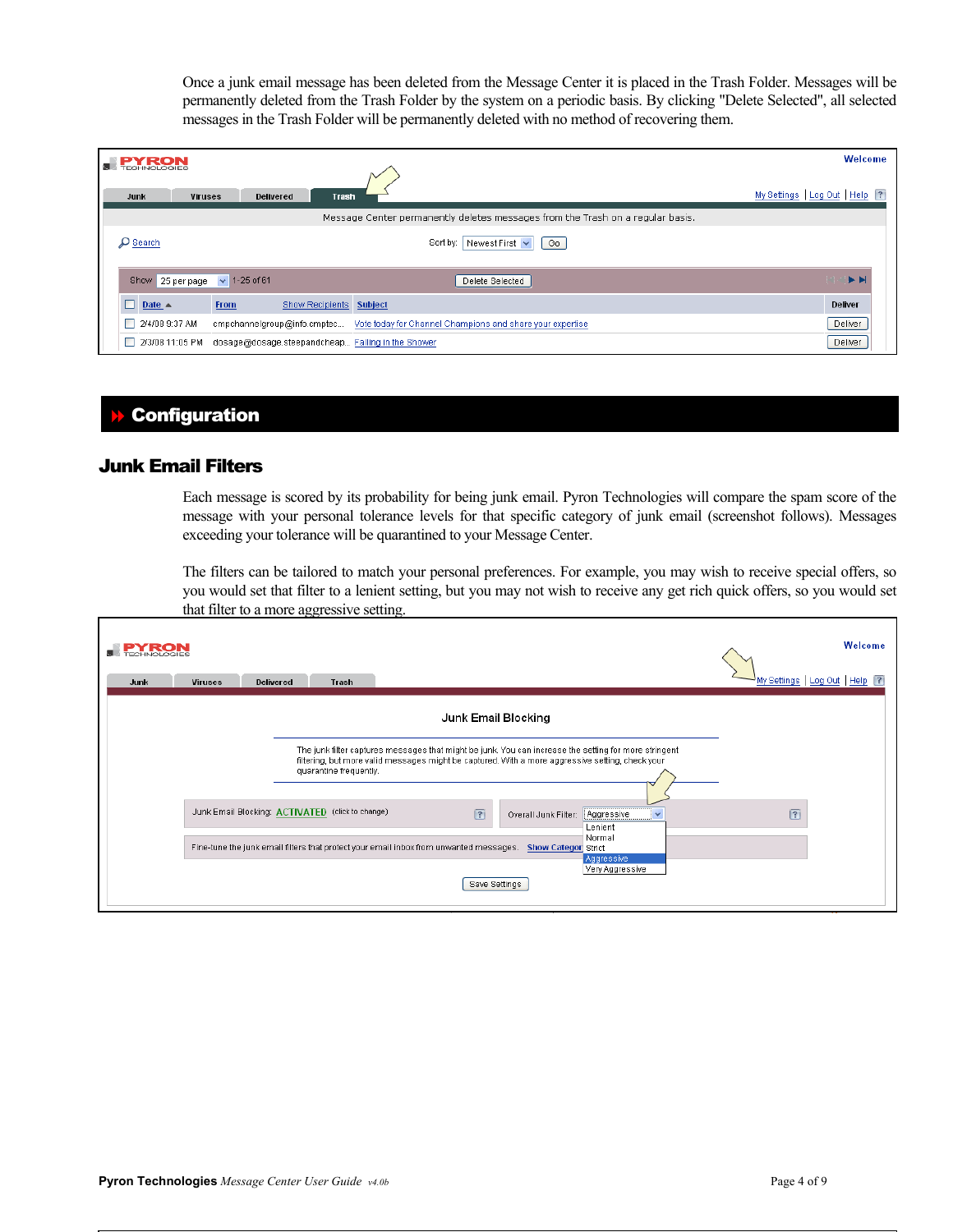Once a junk email message has been deleted from the Message Center it is placed in the Trash Folder. Messages will be permanently deleted from the Trash Folder by the system on a periodic basis. By clicking "Delete Selected", all selected messages in the Trash Folder will be permanently deleted with no method of recovering them.

| <b>PY RON</b>                                                        |                                                                                       | Welcome                          |
|----------------------------------------------------------------------|---------------------------------------------------------------------------------------|----------------------------------|
| <b>Viruses</b><br><b>Delivered</b><br><b>Trash</b><br>Junk           |                                                                                       | My Settings   Log Out   Help   ? |
|                                                                      | Message Center permanently deletes messages from the Trash on a regular basis.        |                                  |
| D Search                                                             | Newest First $\vert \mathbf{v} \vert$<br>Sort by:<br>Go                               |                                  |
| Show 25 per page $\sqrt{1-25}$ of 61                                 | Delete Selected                                                                       | $\blacktriangleright$            |
| $\Box$ Date $\triangle$<br>Show Recipients Subject<br><b>From</b>    |                                                                                       | <b>Deliver</b>                   |
| 2/4/08 9:37 AM                                                       | cmpchannelgroup@info.cmptec Vote today for Channel Champions and share your expertise | Deliver                          |
| 2/3/08 11:05 PM<br>dosage@dosage.steepandcheap Falling in the Shower |                                                                                       | Deliver                          |

# Configuration

## Junk Email Filters

Each message is scored by its probability for being junk email. Pyron Technologies will compare the spam score of the message with your personal tolerance levels for that specific category of junk email (screenshot follows). Messages exceeding your tolerance will be quarantined to your Message Center.

The filters can be tailored to match your personal preferences. For example, you may wish to receive special offers, so you would set that filter to a lenient setting, but you may not wish to receive any get rich quick offers, so you would set that filter to a more aggressive setting.

| <b>Viruses</b><br><b>Delivered</b><br>Junk<br>Trash                                                                                                                                                                                 | Welcome<br>My Settings   Log Out   Help   ? |
|-------------------------------------------------------------------------------------------------------------------------------------------------------------------------------------------------------------------------------------|---------------------------------------------|
| Junk Email Blocking                                                                                                                                                                                                                 |                                             |
| The junk filter captures messages that might be junk. You can increase the setting for more stringent<br>filtering, but more valid messages might be captured. With a more aggressive setting, check your<br>quarantine frequently. |                                             |
| Junk Email Blocking: ACTIVATED (click to change)<br>$\sqrt{?}$<br>Aggressive<br>Overall Junk Filter:<br>$\checkmark$<br>Lenient                                                                                                     | $\sqrt{?}$                                  |
| Normal<br>Fine-tune the junk email filters that protect your email inbox from unwanted messages.<br><b>Show Categor Strict</b><br>Aggressive<br>Very Aggressive<br>Save Settings                                                    |                                             |

٦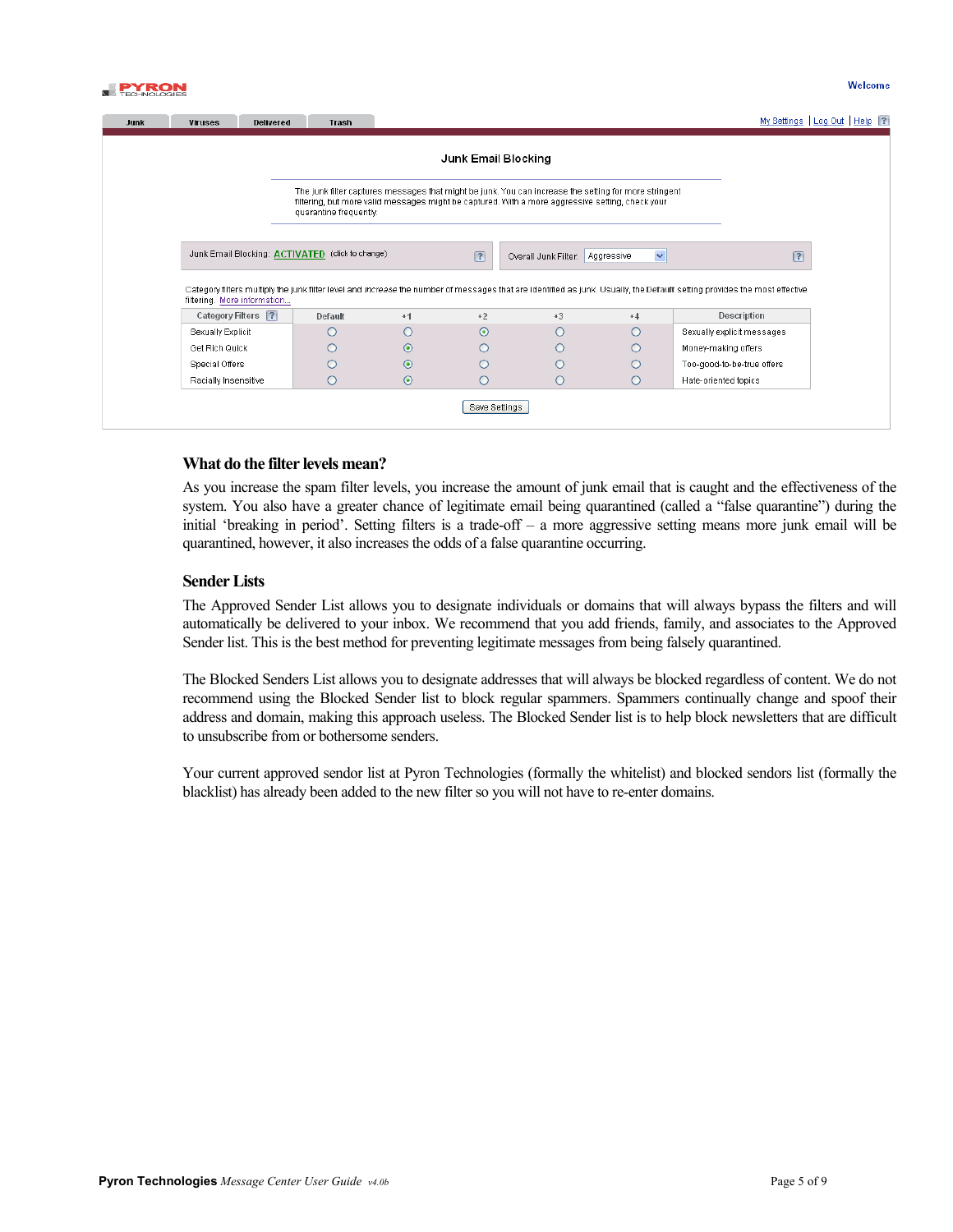

|                                                                                                                                                                                                                                     |                                                  |         | Junk Email Blocking |                      |                            |                                                                                                                                                                                  |
|-------------------------------------------------------------------------------------------------------------------------------------------------------------------------------------------------------------------------------------|--------------------------------------------------|---------|---------------------|----------------------|----------------------------|----------------------------------------------------------------------------------------------------------------------------------------------------------------------------------|
| The junk filter captures messages that might be junk. You can increase the setting for more stringent<br>filtering, but more valid messages might be captured. With a more aggressive setting, check your<br>quarantine frequently. |                                                  |         |                     |                      |                            |                                                                                                                                                                                  |
|                                                                                                                                                                                                                                     |                                                  |         |                     |                      |                            |                                                                                                                                                                                  |
|                                                                                                                                                                                                                                     | Junk Email Blocking: ACTIVATED (click to change) |         | $\sqrt{?}$          | Overall Junk Filter: | $\checkmark$<br>Aggressive |                                                                                                                                                                                  |
| filtering. More information                                                                                                                                                                                                         |                                                  |         |                     |                      |                            | Category filters multiply the junk filter level and <i>increase</i> the number of messages that are identified as junk. Usually, the Default setting provides the most effective |
| Category Filters ?                                                                                                                                                                                                                  | Default                                          | $+1$    | $+2$                | $+3$                 | $+4$                       | Description                                                                                                                                                                      |
| Sexually Explicit                                                                                                                                                                                                                   |                                                  | ∩       | $\odot$             | Ω                    | ∩                          | Sexually explicit messages                                                                                                                                                       |
| Get Rich Quick                                                                                                                                                                                                                      |                                                  | $\odot$ |                     |                      | Ω                          | Money-making offers                                                                                                                                                              |
| Special Offers                                                                                                                                                                                                                      |                                                  | $\odot$ |                     |                      | Ω                          | Too-good-to-be-true offers                                                                                                                                                       |

#### **What do the filter levels mean?**

As you increase the spam filter levels, you increase the amount of junk email that is caught and the effectiveness of the system. You also have a greater chance of legitimate email being quarantined (called a "false quarantine") during the initial 'breaking in period'. Setting filters is a trade-off – a more aggressive setting means more junk email will be quarantined, however, it also increases the odds of a false quarantine occurring.

#### **Sender Lists**

The Approved Sender List allows you to designate individuals or domains that will always bypass the filters and will automatically be delivered to your inbox. We recommend that you add friends, family, and associates to the Approved Sender list. This is the best method for preventing legitimate messages from being falsely quarantined.

The Blocked Senders List allows you to designate addresses that will always be blocked regardless of content. We do not recommend using the Blocked Sender list to block regular spammers. Spammers continually change and spoof their address and domain, making this approach useless. The Blocked Sender list is to help block newsletters that are difficult to unsubscribe from or bothersome senders.

Your current approved sendor list at Pyron Technologies (formally the whitelist) and blocked sendors list (formally the blacklist) has already been added to the new filter so you will not have to re-enter domains.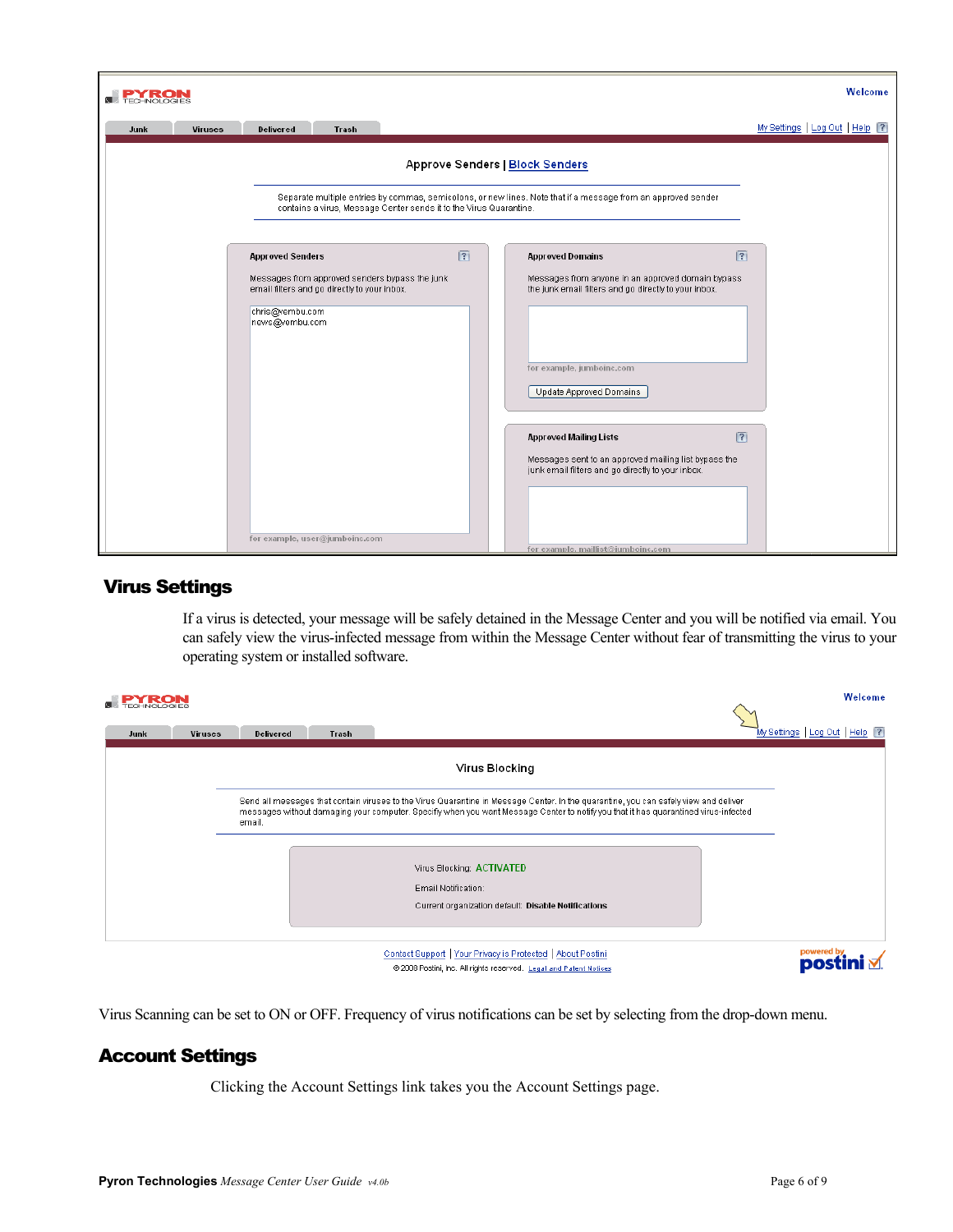| <b>PYRON</b>           |                                                                                                                                     |                                                                    |                                                                                                                                                                                  | Welcome                          |
|------------------------|-------------------------------------------------------------------------------------------------------------------------------------|--------------------------------------------------------------------|----------------------------------------------------------------------------------------------------------------------------------------------------------------------------------|----------------------------------|
| Junk<br><b>Viruses</b> | <b>Delivered</b><br>Trash                                                                                                           |                                                                    |                                                                                                                                                                                  | My Settings   Log Out   Help   ? |
|                        |                                                                                                                                     | Approve Senders   Block Senders                                    |                                                                                                                                                                                  |                                  |
|                        |                                                                                                                                     | contains a virus, Message Center sends it to the Virus Quarantine. | Separate multiple entries by commas, semicolons, or new lines. Note that if a message from an approved sender                                                                    |                                  |
|                        | <b>Approved Senders</b>                                                                                                             | $\sqrt{?}$                                                         | <b>Approved Domains</b>                                                                                                                                                          | $\sqrt{?}$                       |
|                        | Messages from approved senders bypass the junk<br>email filters and go directly to your inbox.<br>chris@vembu.com<br>news@vembu.com |                                                                    | Messages from anyone in an approved domain bypass<br>the junk email filters and go directly to your inbox.<br>for example, jumboinc.com<br>Update Approved Domains               |                                  |
|                        | for example, user@jumboinc.com                                                                                                      |                                                                    | <b>Approved Mailing Lists</b><br>Messages sent to an approved mailing list bypass the<br>junk email filters and go directly to your inbox.<br>for example, maillist@iumboinc.com | $\sqrt{?}$                       |

# Virus Settings

If a virus is detected, your message will be safely detained in the Message Center and you will be notified via email. You can safely view the virus-infected message from within the Message Center without fear of transmitting the virus to your operating system or installed software.

|                        |                  |       |                                                                                                                                                                                                                                                                             | Welcome                         |
|------------------------|------------------|-------|-----------------------------------------------------------------------------------------------------------------------------------------------------------------------------------------------------------------------------------------------------------------------------|---------------------------------|
| <b>Viruses</b><br>Junk | <b>Delivered</b> | Trash |                                                                                                                                                                                                                                                                             | My Settings   Log Out   Help  ? |
|                        |                  |       | Virus Blocking                                                                                                                                                                                                                                                              |                                 |
|                        | email.           |       | Send all messages that contain viruses to the Virus Quarantine in Message Center. In the quarantine, you can safely view and deliver<br>messages without damaging your computer. Specifiy when you want Message Center to notify you that it has quarantined virus-infected |                                 |
|                        |                  |       | Virus Blocking: ACTIVATED                                                                                                                                                                                                                                                   |                                 |
|                        |                  |       | Email Notification:<br>Current organization default: Disable Notifications                                                                                                                                                                                                  |                                 |
|                        |                  |       |                                                                                                                                                                                                                                                                             |                                 |
|                        |                  |       | Contact Support   Your Privacy is Protected   About Postini<br>@ 2008 Postini, Inc. All rights reserved. Legal and Patent Notices                                                                                                                                           | powered by                      |

Virus Scanning can be set to ON or OFF. Frequency of virus notifications can be set by selecting from the drop-down menu.

# Account Settings

Clicking the Account Settings link takes you the Account Settings page.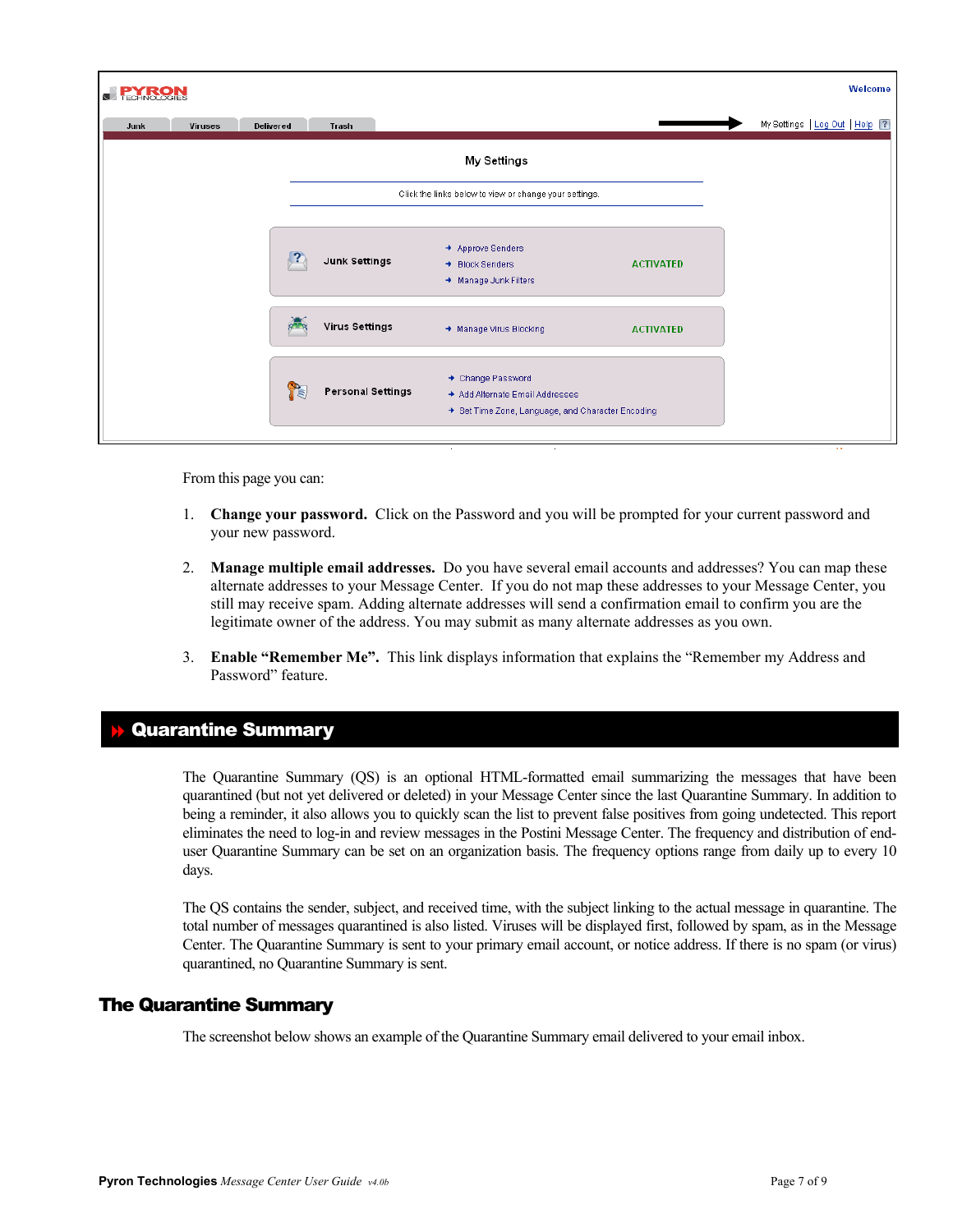| <b>TECHNOLOGIES</b> |                |                        |                          |                                                                                                         |                  | Welcome                          |
|---------------------|----------------|------------------------|--------------------------|---------------------------------------------------------------------------------------------------------|------------------|----------------------------------|
| Junk                | <b>Viruses</b> | Delivered              | Trash                    |                                                                                                         |                  | My Settings   Log Out   Help   ? |
|                     |                |                        |                          | <b>My Settings</b>                                                                                      |                  |                                  |
|                     |                |                        |                          | Click the links below to view or change your settings.                                                  |                  |                                  |
|                     |                | $\left  \cdot \right $ | <b>Junk Settings</b>     | → Approve Senders<br>+ Block Senders<br>$\rightarrow$ Manage Junk Filters                               | <b>ACTIVATED</b> |                                  |
|                     |                |                        | <b>Virus Settings</b>    | → Manage Virus Blocking                                                                                 | <b>ACTIVATED</b> |                                  |
|                     |                | Y.                     | <b>Personal Settings</b> | + Change Password<br>→ Add Alternate Email Addresses<br>Set Time Zone, Language, and Character Encoding |                  |                                  |

From this page you can:

- 1. **Change your password.** Click on the Password and you will be prompted for your current password and your new password.
- 2. **Manage multiple email addresses.** Do you have several email accounts and addresses? You can map these alternate addresses to your Message Center. If you do not map these addresses to your Message Center, you still may receive spam. Adding alternate addresses will send a confirmation email to confirm you are the legitimate owner of the address. You may submit as many alternate addresses as you own.
- 3. **Enable "Remember Me".** This link displays information that explains the "Remember my Address and Password" feature.

# Quarantine Summary

The Quarantine Summary (QS) is an optional HTML-formatted email summarizing the messages that have been quarantined (but not yet delivered or deleted) in your Message Center since the last Quarantine Summary. In addition to being a reminder, it also allows you to quickly scan the list to prevent false positives from going undetected. This report eliminates the need to log-in and review messages in the Postini Message Center. The frequency and distribution of enduser Quarantine Summary can be set on an organization basis. The frequency options range from daily up to every 10 days.

The QS contains the sender, subject, and received time, with the subject linking to the actual message in quarantine. The total number of messages quarantined is also listed. Viruses will be displayed first, followed by spam, as in the Message Center. The Quarantine Summary is sent to your primary email account, or notice address. If there is no spam (or virus) quarantined, no Quarantine Summary is sent.

## The Quarantine Summary

The screenshot below shows an example of the Quarantine Summary email delivered to your email inbox.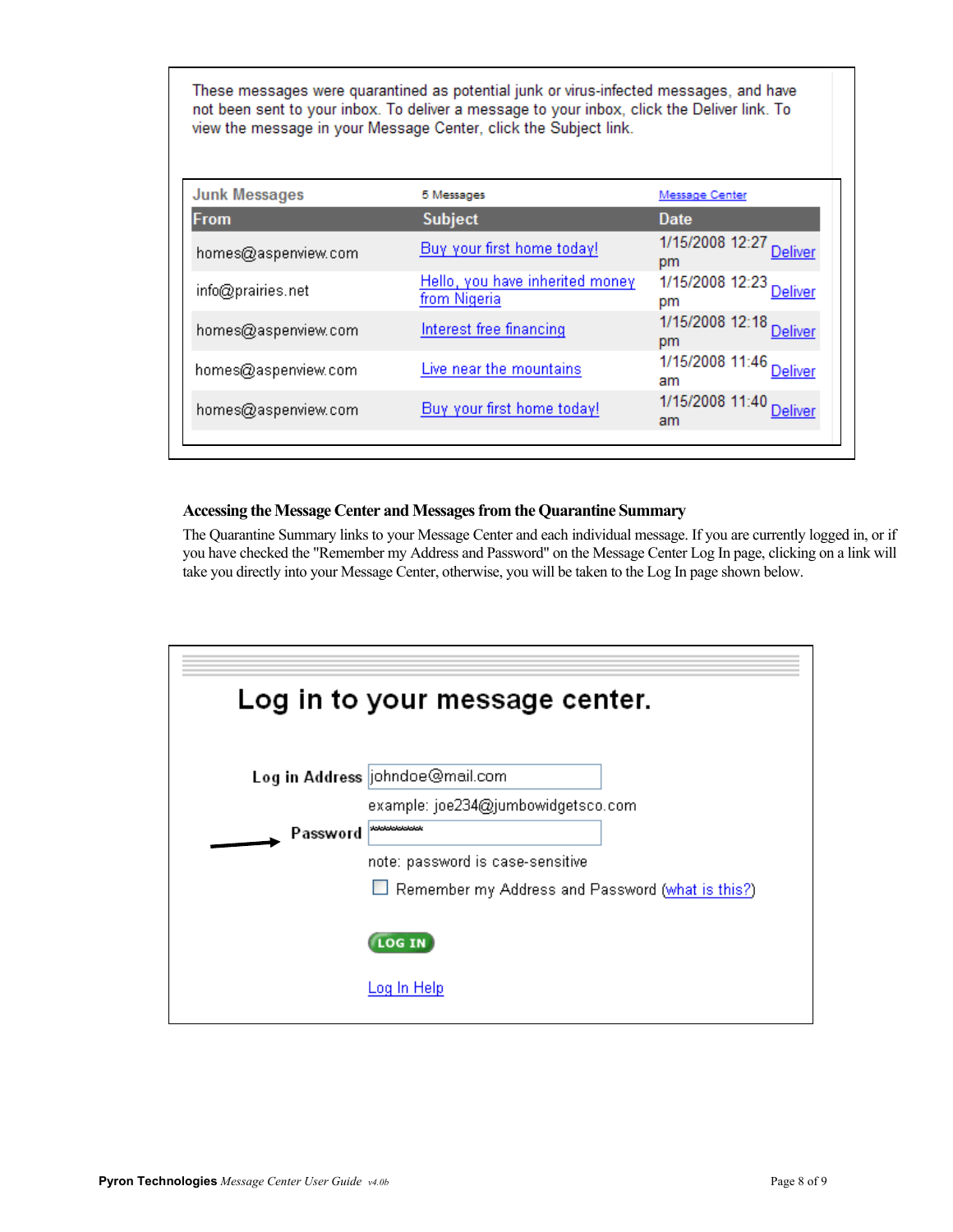These messages were quarantined as potential junk or virus-infected messages, and have not been sent to your inbox. To deliver a message to your inbox, click the Deliver link. To view the message in your Message Center, click the Subject link.

| 5 Messages                                      | Message Center                          |
|-------------------------------------------------|-----------------------------------------|
| <b>Subject</b>                                  | Date                                    |
| Buy your first home today!                      | 1/15/2008 12:27<br><b>Deliver</b><br>pm |
| Hello, you have inherited money<br>from Nigeria | 1/15/2008 12:23<br>Deliver<br>pm        |
| Interest free financing                         | 1/15/2008 12:18 Deliver<br>pm           |
| Live near the mountains                         | 1/15/2008 11:46 Deliver<br>am           |
| Buy your first home today!                      | 1/15/2008 11:40 Deliver<br>am           |
|                                                 |                                         |

## **Accessing the Message Center and Messages from the Quarantine Summary**

The Quarantine Summary links to your Message Center and each individual message. If you are currently logged in, or if you have checked the "Remember my Address and Password" on the Message Center Log In page, clicking on a link will take you directly into your Message Center, otherwise, you will be taken to the Log In page shown below.